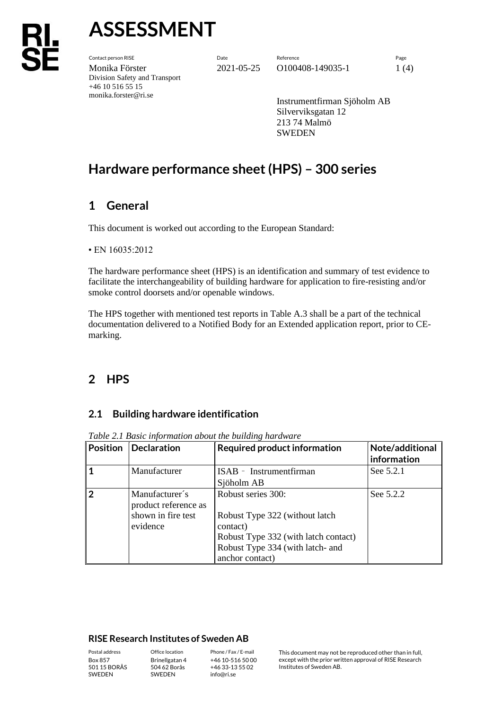# **ASSESSMENT**

Contact person RISE Date Reference Page Monika Förster 2021-05-25 0100408-149035-1 1 (4) Division Safety and Transport +46 10 516 55 15 monika.forster@ri.se

Instrumentfirman Sjöholm AB Silverviksgatan 12 213 74 Malmö **SWEDEN** 

## **Hardware performance sheet (HPS) – 300 series**

## **1 General**

This document is worked out according to the European Standard:

• EN 16035:2012

The hardware performance sheet (HPS) is an identification and summary of test evidence to facilitate the interchangeability of building hardware for application to fire-resisting and/or smoke control doorsets and/or openable windows.

The HPS together with mentioned test reports in Table A.3 shall be a part of the technical documentation delivered to a Notified Body for an Extended application report, prior to CEmarking.

### **2 HPS**

#### **2.1 Building hardware identification**

| <b>Position</b> | Declaration                                                              | <b>Required product information</b>                                                                                                                             | Note/additional<br>information |
|-----------------|--------------------------------------------------------------------------|-----------------------------------------------------------------------------------------------------------------------------------------------------------------|--------------------------------|
|                 | Manufacturer                                                             | ISAB - Instrumentfirman<br>Sjöholm AB                                                                                                                           | See 5.2.1                      |
| 2               | Manufacturer's<br>product reference as<br>shown in fire test<br>evidence | Robust series 300:<br>Robust Type 322 (without latch<br>contact)<br>Robust Type 332 (with latch contact)<br>Robust Type 334 (with latch- and<br>anchor contact) | See 5.2.2                      |

*Table 2.1 Basic information about the building hardware*

#### **RISE Research Institutes of Sweden AB**

Box 857 501 15 BORÅS SWEDEN

Brinellgatan 4 504 62 Borås SWEDEN

+46 10-516 50 00 +46 33-13 55 02 info@ri.se

Postal address Office location Phone / Fax / E-mail This document may not be reproduced other than in full, except with the prior written approval of RISE Research Institutes of Sweden AB.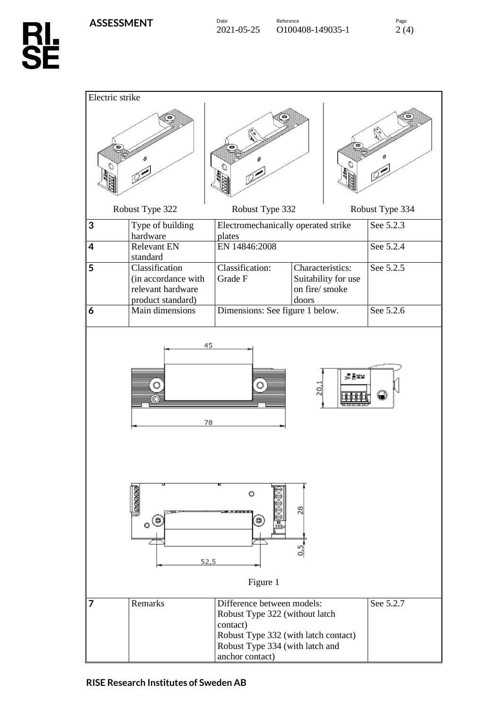

| Electric strike                                                     |                                                                                             |                                                                                                                                                                        |                                                                    |                 |
|---------------------------------------------------------------------|---------------------------------------------------------------------------------------------|------------------------------------------------------------------------------------------------------------------------------------------------------------------------|--------------------------------------------------------------------|-----------------|
|                                                                     |                                                                                             |                                                                                                                                                                        |                                                                    |                 |
|                                                                     | Robust Type 322                                                                             | Robust Type 332                                                                                                                                                        |                                                                    | Robust Type 334 |
| 3                                                                   | Type of building<br>hardware                                                                | Electromechanically operated strike<br>plates                                                                                                                          |                                                                    | See 5.2.3       |
| 4                                                                   | <b>Relevant EN</b>                                                                          | EN 14846:2008                                                                                                                                                          |                                                                    | See 5.2.4       |
| 5                                                                   | standard<br>Classification<br>(in accordance with<br>relevant hardware<br>product standard) | Classification:<br>Grade F                                                                                                                                             | Characteristics:<br>Suitability for use<br>on fire/ smoke<br>doors | See 5.2.5       |
| 6                                                                   | Main dimensions                                                                             | Dimensions: See figure 1 below.                                                                                                                                        |                                                                    | See 5.2.6       |
| 45<br>⋚┋¥<br>O<br>20,<br>78                                         |                                                                                             |                                                                                                                                                                        |                                                                    |                 |
| <b>aaaaa</b><br>o<br>28<br>$\circ$ (#<br>₩<br>6<br>52,5<br>Figure 1 |                                                                                             |                                                                                                                                                                        |                                                                    |                 |
| 7                                                                   | Remarks                                                                                     | Difference between models:<br>Robust Type 322 (without latch<br>contact)<br>Robust Type 332 (with latch contact)<br>Robust Type 334 (with latch and<br>anchor contact) |                                                                    | See 5.2.7       |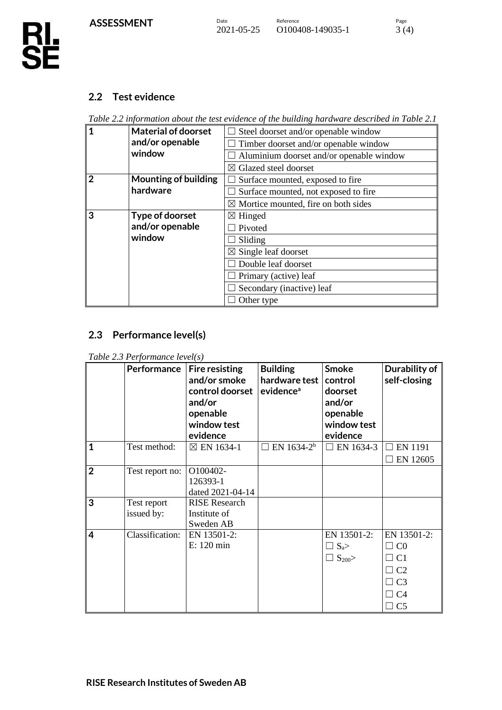#### **2.2 Test evidence**

*Table 2.2 information about the test evidence of the building hardware described in Table 2.1*

| 1              | <b>Material of doorset</b>  | Steel doorset and/or openable window            |  |  |
|----------------|-----------------------------|-------------------------------------------------|--|--|
|                | and/or openable             | Timber doorset and/or openable window           |  |  |
|                | window                      | Aluminium doorset and/or openable window        |  |  |
|                |                             | $\boxtimes$ Glazed steel doorset                |  |  |
| $\overline{2}$ | <b>Mounting of building</b> | Surface mounted, exposed to fire                |  |  |
|                | hardware                    | Surface mounted, not exposed to fire            |  |  |
|                |                             | $\boxtimes$ Mortice mounted, fire on both sides |  |  |
| 3              | Type of doorset             | $\boxtimes$ Hinged                              |  |  |
|                | and/or openable             | Pivoted                                         |  |  |
|                | window                      | Sliding                                         |  |  |
|                |                             | $\boxtimes$ Single leaf doorset                 |  |  |
|                |                             | Double leaf doorset                             |  |  |
|                |                             | $\Box$ Primary (active) leaf                    |  |  |
|                |                             | Secondary (inactive) leaf                       |  |  |
|                |                             | Other type                                      |  |  |

#### **2.3 Performance level(s)**

*Table 2.3 Performance level(s)*

|                | <b>Performance</b>        | <b>Fire resisting</b><br>and/or smoke<br>control doorset<br>and/or<br>openable<br>window test<br>evidence | <b>Building</b><br>hardware test<br>evidence <sup>a</sup> | <b>Smoke</b><br>control<br>doorset<br>and/or<br>openable<br>window test<br>evidence | Durability of<br>self-closing                                                                            |
|----------------|---------------------------|-----------------------------------------------------------------------------------------------------------|-----------------------------------------------------------|-------------------------------------------------------------------------------------|----------------------------------------------------------------------------------------------------------|
| $\mathbf{1}$   | Test method:              | $\boxtimes$ EN 1634-1                                                                                     | $\Box$ EN 1634-2 <sup>b</sup>                             | $\Box$ EN 1634-3                                                                    | <b>EN 1191</b><br>EN 12605                                                                               |
| $\overline{2}$ | Test report no:           | O100402-<br>126393-1<br>dated 2021-04-14                                                                  |                                                           |                                                                                     |                                                                                                          |
| 3              | Test report<br>issued by: | <b>RISE Research</b><br>Institute of<br>Sweden AB                                                         |                                                           |                                                                                     |                                                                                                          |
| 4              | Classification:           | EN 13501-2:<br>E: 120 min                                                                                 |                                                           | EN 13501-2:<br>$\Box$ S <sub>a</sub> ><br>$\Box$ S <sub>200</sub> >                 | EN 13501-2:<br>C <sub>0</sub><br>C <sub>1</sub><br>C <sub>2</sub><br>$\Box$ C3<br>$\Box$ C4<br>$\Box$ C5 |